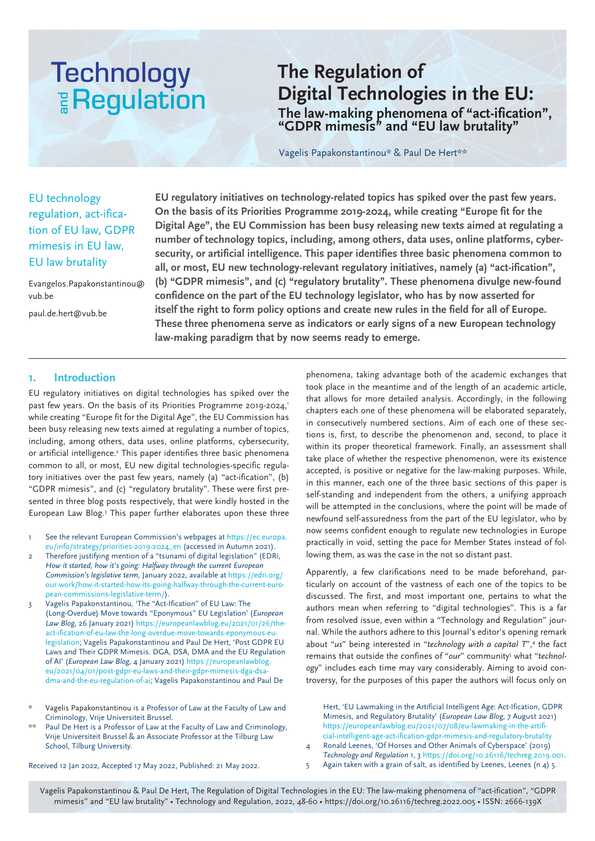## **Technology E** Regulation

### **The Regulation of Digital Technologies in the EU: The law-making phenomena of "act-ification", "GDPR mimesis" and "EU law brutality"**

Vagelis Papakonstantinou\* & Paul De Hert\*\*

#### EU technology regulation, act-ification of EU law, GDPR mimesis in EU law, EU law brutality

Evangelos.Papakonstantinou@ vub.be

paul.de.hert@vub.be

**EU regulatory initiatives on technology-related topics has spiked over the past few years. On the basis of its Priorities Programme 2019-2024, while creating "Europe fit for the Digital Age", the EU Commission has been busy releasing new texts aimed at regulating a number of technology topics, including, among others, data uses, online platforms, cybersecurity, or artificial intelligence. This paper identifies three basic phenomena common to all, or most, EU new technology-relevant regulatory initiatives, namely (a) "act-ification", (b) "GDPR mimesis", and (c) "regulatory brutality". These phenomena divulge new-found confidence on the part of the EU technology legislator, who has by now asserted for itself the right to form policy options and create new rules in the field for all of Europe. These three phenomena serve as indicators or early signs of a new European technology law-making paradigm that by now seems ready to emerge.**

#### **1. Introduction**

EU regulatory initiatives on digital technologies has spiked over the past few years. On the basis of its Priorities Programme 2019-2024,<sup>1</sup> while creating "Europe fit for the Digital Age", the EU Commission has been busy releasing new texts aimed at regulating a number of topics, including, among others, data uses, online platforms, cybersecurity, or artificial intelligence.<sup>2</sup> This paper identifies three basic phenomena common to all, or most, EU new digital technologies-specific regulatory initiatives over the past few years, namely (a) "act-ification", (b) "GDPR mimesis", and (c) "regulatory brutality". These were first presented in three blog posts respectively, that were kindly hosted in the European Law Blog.3 This paper further elaborates upon these three

- See the relevant European Commission's webpages at https://ec.europa. eu/info/strategy/priorities-2019-2024\_en (accessed in Autumn 2021).
- 2 Therefore justifying mention of a "tsunami of digital legislation" (EDRi, *How it started, how it's going: Halfway through the current European Commission's legislative term,* January 2022, available at https://edri.org/ our-work/how-it-started-how-its-going-halfway-through-the-current-european-commissions-legislative-term/).
- 3 Vagelis Papakonstantinou, 'The "Act-Ification" of EU Law: The (Long-Overdue) Move towards "Eponymous" EU Legislation' (*European Law Blog*, 26 January 2021) https://europeanlawblog.eu/2021/01/26/theact-ification-of-eu-law-the-long-overdue-move-towards-eponymous-eulegislation; Vagelis Papakonstantinou and Paul De Hert, 'Post GDPR EU Laws and Their GDPR Mimesis. DGA, DSA, DMA and the EU Regulation of AI' (*European Law Blog*, 4 January 2021) https://europeanlawblog. eu/2021/04/01/post-gdpr-eu-laws-and-their-gdpr-mimesis-dga-dsadma-and-the-eu-regulation-of-ai; Vagelis Papakonstantinou and Paul De
- Vagelis Papakonstantinou is a Professor of Law at the Faculty of Law and Criminology, Vrije Universiteit Brussel.
- Paul De Hert is a Professor of Law at the Faculty of Law and Criminology, Vrije Universiteit Brussel & an Associate Professor at the Tilburg Law School, Tilburg University.

phenomena, taking advantage both of the academic exchanges that took place in the meantime and of the length of an academic article, that allows for more detailed analysis. Accordingly, in the following chapters each one of these phenomena will be elaborated separately, in consecutively numbered sections. Aim of each one of these sections is, first, to describe the phenomenon and, second, to place it within its proper theoretical framework. Finally, an assessment shall take place of whether the respective phenomenon, were its existence accepted, is positive or negative for the law-making purposes. While, in this manner, each one of the three basic sections of this paper is self-standing and independent from the others, a unifying approach will be attempted in the conclusions, where the point will be made of newfound self-assuredness from the part of the EU legislator, who by now seems confident enough to regulate new technologies in Europe practically in void, setting the pace for Member States instead of following them, as was the case in the not so distant past.

Apparently, a few clarifications need to be made beforehand, particularly on account of the vastness of each one of the topics to be discussed. The first, and most important one, pertains to what the authors mean when referring to "digital technologies". This is a far from resolved issue, even within a "Technology and Regulation" journal. While the authors adhere to this Journal's editor's opening remark about "*us*" being interested in "*technology with a capital T*",4 the fact remains that outside the confines of "our" community<sup>5</sup> what "technol*ogy*" includes each time may vary considerably. Aiming to avoid controversy, for the purposes of this paper the authors will focus only on

Hert, 'EU Lawmaking in the Artificial Intelligent Age: Act-Ification, GDPR Mimesis, and Regulatory Brutality' (*European Law Blog*, 7 August 2021) https://europeanlawblog.eu/2021/07/08/eu-lawmaking-in-the-artificial-intelligent-age-act-ification-gdpr-mimesis-and-regulatory-brutality

- 4 Ronald Leenes, 'Of Horses and Other Animals of Cyberspace' (2019) *Technology and Regulation* 1, 3 https://doi.org/10.26116/techreg.2019.001.
- 5 Again taken with a grain of salt, as identified by Leenes, Leenes (n 4) 5.

Received 12 Jan 2022, Accepted 17 May 2022, Published: 21 May 2022.

Vagelis Papakonstantinou & Paul De Hert, The Regulation of Digital Technologies in the EU: The law-making phenomena of "act-ification", "GDPR mimesis" and "EU law brutality" • Technology and Regulation, 2022, 48-60 • https://doi.org/10.26116/techreg.2022.005 • ISSN: 2666-139X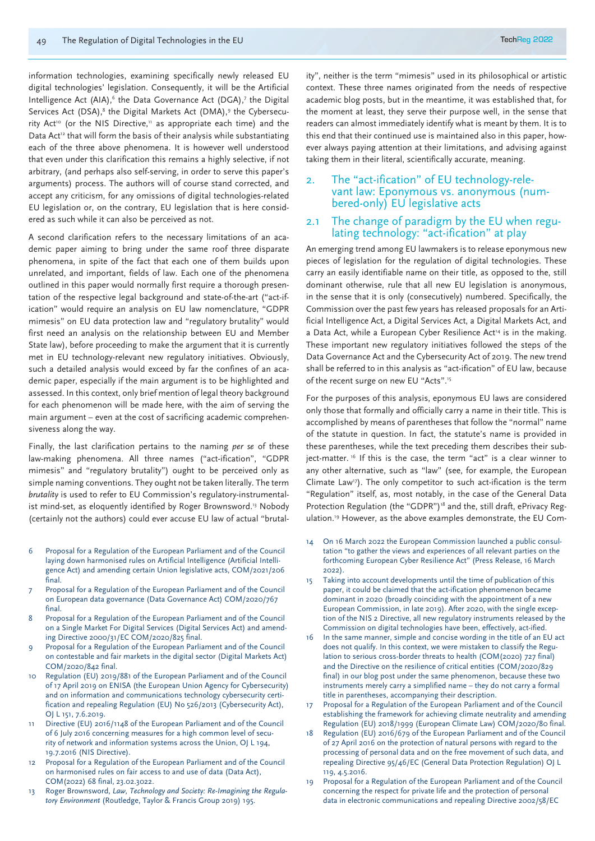information technologies, examining specifically newly released EU digital technologies' legislation. Consequently, it will be the Artificial Intelligence Act (AIA),<sup>6</sup> the Data Governance Act (DGA),7 the Digital Services Act (DSA),<sup>8</sup> the Digital Markets Act (DMA),<sup>9</sup> the Cybersecurity Act<sup>10</sup> (or the NIS Directive,<sup>11</sup> as appropriate each time) and the Data Act<sup>12</sup> that will form the basis of their analysis while substantiating each of the three above phenomena. It is however well understood that even under this clarification this remains a highly selective, if not arbitrary, (and perhaps also self-serving, in order to serve this paper's arguments) process. The authors will of course stand corrected, and accept any criticism, for any omissions of digital technologies-related EU legislation or, on the contrary, EU legislation that is here considered as such while it can also be perceived as not.

A second clarification refers to the necessary limitations of an academic paper aiming to bring under the same roof three disparate phenomena, in spite of the fact that each one of them builds upon unrelated, and important, fields of law. Each one of the phenomena outlined in this paper would normally first require a thorough presentation of the respective legal background and state-of-the-art ("act-ification" would require an analysis on EU law nomenclature, "GDPR mimesis" on EU data protection law and "regulatory brutality" would first need an analysis on the relationship between EU and Member State law), before proceeding to make the argument that it is currently met in EU technology-relevant new regulatory initiatives. Obviously, such a detailed analysis would exceed by far the confines of an academic paper, especially if the main argument is to be highlighted and assessed. In this context, only brief mention of legal theory background for each phenomenon will be made here, with the aim of serving the main argument – even at the cost of sacrificing academic comprehensiveness along the way.

Finally, the last clarification pertains to the naming *per se* of these law-making phenomena. All three names ("act-ification", "GDPR mimesis" and "regulatory brutality") ought to be perceived only as simple naming conventions. They ought not be taken literally. The term *brutality* is used to refer to EU Commission's regulatory-instrumentalist mind-set, as eloquently identified by Roger Brownsword.<sup>13</sup> Nobody (certainly not the authors) could ever accuse EU law of actual "brutal-

- 6 Proposal for a Regulation of the European Parliament and of the Council laying down harmonised rules on Artificial Intelligence (Artificial Intelligence Act) and amending certain Union legislative acts, COM/2021/206 final.
- Proposal for a Regulation of the European Parliament and of the Council on European data governance (Data Governance Act) COM/2020/767 final.
- 8 Proposal for a Regulation of the European Parliament and of the Council on a Single Market For Digital Services (Digital Services Act) and amending Directive 2000/31/EC COM/2020/825 final.
- 9 Proposal for a Regulation of the European Parliament and of the Council on contestable and fair markets in the digital sector (Digital Markets Act) COM/2020/842 final.
- 10 Regulation (EU) 2019/881 of the European Parliament and of the Council of 17 April 2019 on ENISA (the European Union Agency for Cybersecurity) and on information and communications technology cybersecurity certification and repealing Regulation (EU) No 526/2013 (Cybersecurity Act), OJ L 151, 7.6.2019.
- 11 Directive (EU) 2016/1148 of the European Parliament and of the Council of 6 July 2016 concerning measures for a high common level of security of network and information systems across the Union, OJ L 194, 19.7.2016 (NIS Directive).
- Proposal for a Regulation of the European Parliament and of the Council on harmonised rules on fair access to and use of data (Data Act), COM(2022) 68 final, 23.02.3022.
- 13 Roger Brownsword, *Law, Technology and Society: Re-Imagining the Regulatory Environment* (Routledge, Taylor & Francis Group 2019) 195.

ity", neither is the term "mimesis" used in its philosophical or artistic context. These three names originated from the needs of respective academic blog posts, but in the meantime, it was established that, for the moment at least, they serve their purpose well, in the sense that readers can almost immediately identify what is meant by them. It is to this end that their continued use is maintained also in this paper, however always paying attention at their limitations, and advising against taking them in their literal, scientifically accurate, meaning.

# 2. The "act-ification" of EU technology-rele-<br>vant law: Eponymous vs. anonymous (num-<br>bered-only) EU legislative acts

### 2.1 The change of paradigm by the EU when regu- lating technology: "act-ification" at play

An emerging trend among EU lawmakers is to release eponymous new pieces of legislation for the regulation of digital technologies. These carry an easily identifiable name on their title, as opposed to the, still dominant otherwise, rule that all new EU legislation is anonymous, in the sense that it is only (consecutively) numbered. Specifically, the Commission over the past few years has released proposals for an Artificial Intelligence Act, a Digital Services Act, a Digital Markets Act, and a Data Act, while a European Cyber Resilience Act<sup>14</sup> is in the making. These important new regulatory initiatives followed the steps of the Data Governance Act and the Cybersecurity Act of 2019. The new trend shall be referred to in this analysis as "act-ification" of EU law, because of the recent surge on new EU "Acts".15

For the purposes of this analysis, eponymous EU laws are considered only those that formally and officially carry a name in their title. This is accomplished by means of parentheses that follow the "normal" name of the statute in question. In fact, the statute's name is provided in these parentheses, while the text preceding them describes their subject-matter.<sup>16</sup> If this is the case, the term "act" is a clear winner to any other alternative, such as "law" (see, for example, the European Climate Law<sup>17</sup>). The only competitor to such act-ification is the term "Regulation" itself, as, most notably, in the case of the General Data Protection Regulation (the "GDPR")<sup>18</sup> and the, still draft, ePrivacy Regulation.19 However, as the above examples demonstrate, the EU Com-

- 14 On 16 March 2022 the European Commission launched a public consultation "to gather the views and experiences of all relevant parties on the forthcoming European Cyber Resilience Act" (Press Release, 16 March 2022).
- 15 Taking into account developments until the time of publication of this paper, it could be claimed that the act-ification phenomenon became dominant in 2020 (broadly coinciding with the appointment of a new European Commission, in late 2019). After 2020, with the single exception of the NIS 2 Directive, all new regulatory instruments released by the Commission on digital technologies have been, effectively, act-ified.
- 16 In the same manner, simple and concise wording in the title of an EU act does not qualify. In this context, we were mistaken to classify the Regulation to serious cross-border threats to health (COM(2020) 727 final) and the Directive on the resilience of critical entities (COM/2020/829 final) in our blog post under the same phenomenon, because these two instruments merely carry a simplified name – they do not carry a formal title in parentheses, accompanying their description.
- 17 Proposal for a Regulation of the European Parliament and of the Council establishing the framework for achieving climate neutrality and amending Regulation (EU) 2018/1999 (European Climate Law) COM/2020/80 final.
- Regulation (EU) 2016/679 of the European Parliament and of the Council of 27 April 2016 on the protection of natural persons with regard to the processing of personal data and on the free movement of such data, and repealing Directive 95/46/EC (General Data Protection Regulation) OJ L 119, 4.5.2016.
- 19 Proposal for a Regulation of the European Parliament and of the Council concerning the respect for private life and the protection of personal data in electronic communications and repealing Directive 2002/58/EC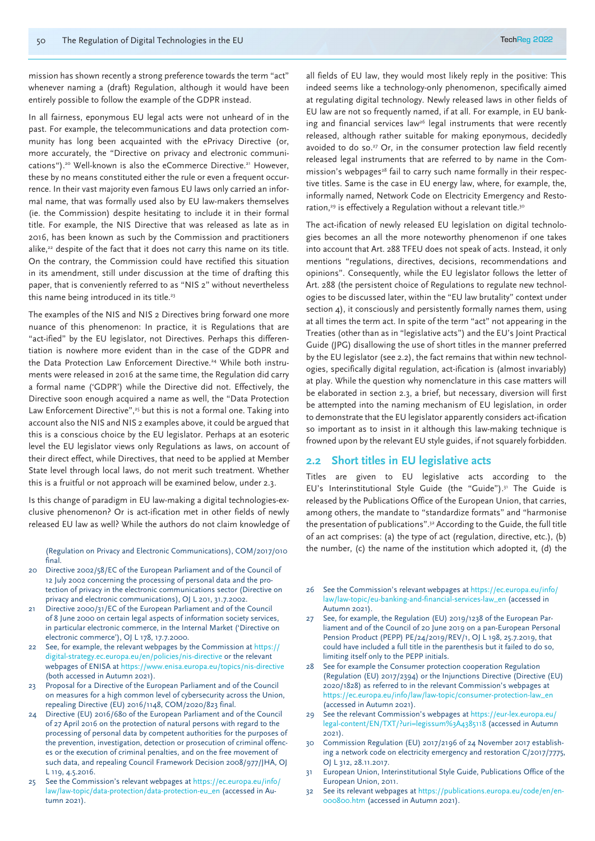mission has shown recently a strong preference towards the term "act" whenever naming a (draft) Regulation, although it would have been entirely possible to follow the example of the GDPR instead.

In all fairness, eponymous EU legal acts were not unheard of in the past. For example, the telecommunications and data protection community has long been acquainted with the ePrivacy Directive (or, more accurately, the "Directive on privacy and electronic communications").20 Well-known is also the eCommerce Directive.21 However, these by no means constituted either the rule or even a frequent occurrence. In their vast majority even famous EU laws only carried an informal name, that was formally used also by EU law-makers themselves (ie. the Commission) despite hesitating to include it in their formal title. For example, the NIS Directive that was released as late as in 2016, has been known as such by the Commission and practitioners alike,<sup>22</sup> despite of the fact that it does not carry this name on its title. On the contrary, the Commission could have rectified this situation in its amendment, still under discussion at the time of drafting this paper, that is conveniently referred to as "NIS 2" without nevertheless this name being introduced in its title.<sup>23</sup>

The examples of the NIS and NIS 2 Directives bring forward one more nuance of this phenomenon: In practice, it is Regulations that are "act-ified" by the EU legislator, not Directives. Perhaps this differentiation is nowhere more evident than in the case of the GDPR and the Data Protection Law Enforcement Directive.<sup>24</sup> While both instruments were released in 2016 at the same time, the Regulation did carry a formal name ('GDPR') while the Directive did not. Effectively, the Directive soon enough acquired a name as well, the "Data Protection Law Enforcement Directive",<sup>25</sup> but this is not a formal one. Taking into account also the NIS and NIS 2 examples above, it could be argued that this is a conscious choice by the EU legislator. Perhaps at an esoteric level the EU legislator views only Regulations as laws, on account of their direct effect, while Directives, that need to be applied at Member State level through local laws, do not merit such treatment. Whether this is a fruitful or not approach will be examined below, under 2.3.

Is this change of paradigm in EU law-making a digital technologies-exclusive phenomenon? Or is act-ification met in other fields of newly released EU law as well? While the authors do not claim knowledge of

(Regulation on Privacy and Electronic Communications), COM/2017/010 final.

- 20 Directive 2002/58/EC of the European Parliament and of the Council of 12 July 2002 concerning the processing of personal data and the protection of privacy in the electronic communications sector (Directive on privacy and electronic communications), OJ L 201, 31.7.2002.
- 21 Directive 2000/31/EC of the European Parliament and of the Council of 8 June 2000 on certain legal aspects of information society services, in particular electronic commerce, in the Internal Market ('Directive on electronic commerce'), OJ L 178, 17.7.2000.
- 22 See, for example, the relevant webpages by the Commission at https:// digital-strategy.ec.europa.eu/en/policies/nis-directive or the relevant webpages of ENISA at https://www.enisa.europa.eu/topics/nis-directive (both accessed in Autumn 2021).
- 23 Proposal for a Directive of the European Parliament and of the Council on measures for a high common level of cybersecurity across the Union, repealing Directive (EU) 2016/1148, COM/2020/823 final.
- Directive (EU) 2016/680 of the European Parliament and of the Council of 27 April 2016 on the protection of natural persons with regard to the processing of personal data by competent authorities for the purposes of the prevention, investigation, detection or prosecution of criminal offences or the execution of criminal penalties, and on the free movement of such data, and repealing Council Framework Decision 2008/977/JHA, OJ L 119, 4.5.2016.
- 25 See the Commission's relevant webpages at https://ec.europa.eu/info/ law/law-topic/data-protection/data-protection-eu\_en (accessed in Autumn 2021).

all fields of EU law, they would most likely reply in the positive: This indeed seems like a technology-only phenomenon, specifically aimed at regulating digital technology. Newly released laws in other fields of EU law are not so frequently named, if at all. For example, in EU banking and financial services law<sup>26</sup> legal instruments that were recently released, although rather suitable for making eponymous, decidedly avoided to do so.<sup>27</sup> Or, in the consumer protection law field recently released legal instruments that are referred to by name in the Commission's webpages<sup>28</sup> fail to carry such name formally in their respective titles. Same is the case in EU energy law, where, for example, the, informally named, Network Code on Electricity Emergency and Restoration,<sup>29</sup> is effectively a Regulation without a relevant title.<sup>30</sup>

The act-ification of newly released EU legislation on digital technologies becomes an all the more noteworthy phenomenon if one takes into account that Art. 288 TFEU does not speak of acts. Instead, it only mentions "regulations, directives, decisions, recommendations and opinions". Consequently, while the EU legislator follows the letter of Art. 288 (the persistent choice of Regulations to regulate new technologies to be discussed later, within the "EU law brutality" context under section 4), it consciously and persistently formally names them, using at all times the term act. In spite of the term "act" not appearing in the Treaties (other than as in "legislative acts") and the EU's Joint Practical Guide (JPG) disallowing the use of short titles in the manner preferred by the EU legislator (see 2.2), the fact remains that within new technologies, specifically digital regulation, act-ification is (almost invariably) at play. While the question why nomenclature in this case matters will be elaborated in section 2.3, a brief, but necessary, diversion will first be attempted into the naming mechanism of EU legislation, in order to demonstrate that the EU legislator apparently considers act-ification so important as to insist in it although this law-making technique is frowned upon by the relevant EU style guides, if not squarely forbidden.

#### **2.2 Short titles in EU legislative acts**

Titles are given to EU legislative acts according to the EU's Interinstitutional Style Guide (the "Guide").<sup>31</sup> The Guide is released by the Publications Office of the European Union, that carries, among others, the mandate to "standardize formats" and "harmonise the presentation of publications".32 According to the Guide, the full title of an act comprises: (a) the type of act (regulation, directive, etc.), (b) the number, (c) the name of the institution which adopted it, (d) the

- 26 See the Commission's relevant webpages at https://ec.europa.eu/info/ law/law-topic/eu-banking-and-financial-services-law\_en (accessed in Autumn 2021).
- 27 See, for example, the Regulation (EU) 2019/1238 of the European Parliament and of the Council of 20 June 2019 on a pan-European Personal Pension Product (PEPP) PE/24/2019/REV/1, OJ L 198, 25.7.2019, that could have included a full title in the parenthesis but it failed to do so, limiting itself only to the PEPP initials.
- 28 See for example the Consumer protection cooperation Regulation (Regulation (EU) 2017/2394) or the Injunctions Directive (Directive (EU) 2020/1828) as referred to in the relevant Commission's webpages at https://ec.europa.eu/info/law/law-topic/consumer-protection-law\_en (accessed in Autumn 2021).
- See the relevant Commission's webpages at https://eur-lex.europa.eu/ legal-content/EN/TXT/?uri=legissum%3A4385118 (accessed in Autumn 2021).
- 30 Commission Regulation (EU) 2017/2196 of 24 November 2017 establishing a network code on electricity emergency and restoration C/2017/7775, OJ L 312, 28.11.2017.
- 31 European Union, Interinstitutional Style Guide, Publications Office of the European Union, 2011.
- 32 See its relevant webpages at https://publications.europa.eu/code/en/en-000800.htm (accessed in Autumn 2021).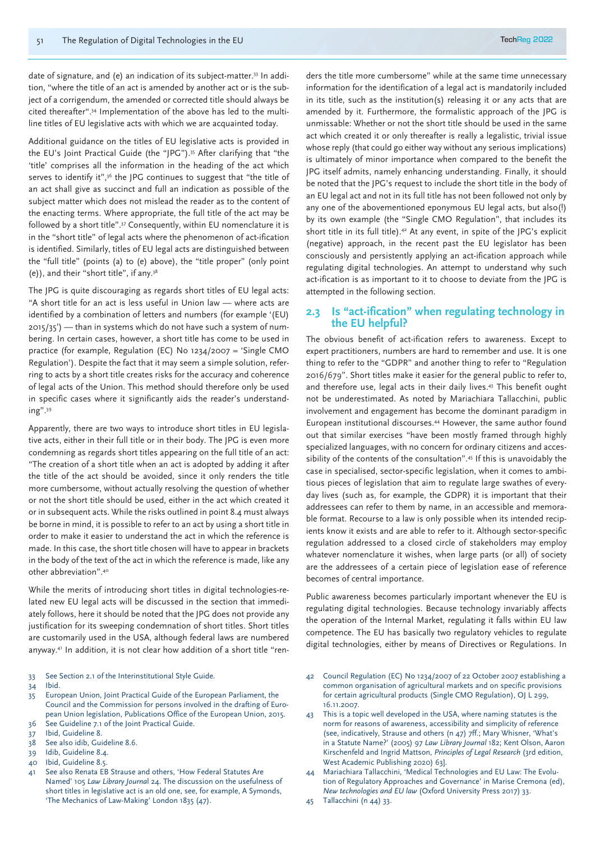date of signature, and (e) an indication of its subject-matter.33 In addition, "where the title of an act is amended by another act or is the subject of a corrigendum, the amended or corrected title should always be cited thereafter".34 Implementation of the above has led to the multiline titles of EU legislative acts with which we are acquainted today.

Additional guidance on the titles of EU legislative acts is provided in the EU's Joint Practical Guide (the "JPG").35 After clarifying that "the 'title' comprises all the information in the heading of the act which serves to identify it",<sup>36</sup> the JPG continues to suggest that "the title of an act shall give as succinct and full an indication as possible of the subject matter which does not mislead the reader as to the content of the enacting terms. Where appropriate, the full title of the act may be followed by a short title".37 Consequently, within EU nomenclature it is in the "short title" of legal acts where the phenomenon of act-ification is identified. Similarly, titles of EU legal acts are distinguished between the "full title" (points (a) to (e) above), the "title proper" (only point (e)), and their "short title", if any.38

The JPG is quite discouraging as regards short titles of EU legal acts: "A short title for an act is less useful in Union law — where acts are identified by a combination of letters and numbers (for example '(EU) 2015/35') — than in systems which do not have such a system of numbering. In certain cases, however, a short title has come to be used in practice (for example, Regulation (EC) No 1234/2007 = 'Single CMO Regulation'). Despite the fact that it may seem a simple solution, referring to acts by a short title creates risks for the accuracy and coherence of legal acts of the Union. This method should therefore only be used in specific cases where it significantly aids the reader's understanding".39

Apparently, there are two ways to introduce short titles in EU legislative acts, either in their full title or in their body. The JPG is even more condemning as regards short titles appearing on the full title of an act: "The creation of a short title when an act is adopted by adding it after the title of the act should be avoided, since it only renders the title more cumbersome, without actually resolving the question of whether or not the short title should be used, either in the act which created it or in subsequent acts. While the risks outlined in point 8.4 must always be borne in mind, it is possible to refer to an act by using a short title in order to make it easier to understand the act in which the reference is made. In this case, the short title chosen will have to appear in brackets in the body of the text of the act in which the reference is made, like any other abbreviation".40

While the merits of introducing short titles in digital technologies-related new EU legal acts will be discussed in the section that immediately follows, here it should be noted that the JPG does not provide any justification for its sweeping condemnation of short titles. Short titles are customarily used in the USA, although federal laws are numbered anyway.41 In addition, it is not clear how addition of a short title "ren-

33 See Section 2.1 of the Interinstitutional Style Guide.

34 Ibid.

- 35 European Union, Joint Practical Guide of the European Parliament, the Council and the Commission for persons involved in the drafting of European Union legislation, Publications Office of the European Union, 2015.
- 36 See Guideline 7.1 of the Joint Practical Guide.
- 37 Ibid, Guideline 8.
- 38 See also idib, Guideline 8.6.
- 39 Idib, Guideline 8.4.
- 40 Ibid, Guideline 8.5.
- 41 See also Renata EB Strause and others, 'How Federal Statutes Are Named' 105 *Law Library Journa*l 24. The discussion on the usefulness of short titles in legislative act is an old one, see, for example, A Symonds, 'The Mechanics of Law-Making' London 1835 (47).

ders the title more cumbersome" while at the same time unnecessary information for the identification of a legal act is mandatorily included in its title, such as the institution(s) releasing it or any acts that are amended by it. Furthermore, the formalistic approach of the JPG is unmissable: Whether or not the short title should be used in the same act which created it or only thereafter is really a legalistic, trivial issue whose reply (that could go either way without any serious implications) is ultimately of minor importance when compared to the benefit the JPG itself admits, namely enhancing understanding. Finally, it should be noted that the JPG's request to include the short title in the body of an EU legal act and not in its full title has not been followed not only by any one of the abovementioned eponymous EU legal acts, but also(!) by its own example (the "Single CMO Regulation", that includes its short title in its full title).<sup>42</sup> At any event, in spite of the JPG's explicit (negative) approach, in the recent past the EU legislator has been consciously and persistently applying an act-ification approach while regulating digital technologies. An attempt to understand why such act-ification is as important to it to choose to deviate from the JPG is attempted in the following section.

#### **2.3 Is "act-ification" when regulating technology in the EU helpful?**

The obvious benefit of act-ification refers to awareness. Except to expert practitioners, numbers are hard to remember and use. It is one thing to refer to the "GDPR" and another thing to refer to "Regulation 2016/679". Short titles make it easier for the general public to refer to, and therefore use, legal acts in their daily lives.<sup>43</sup> This benefit ought not be underestimated. As noted by Mariachiara Tallacchini, public involvement and engagement has become the dominant paradigm in European institutional discourses.44 However, the same author found out that similar exercises "have been mostly framed through highly specialized languages, with no concern for ordinary citizens and accessibility of the contents of the consultation".45 If this is unavoidably the case in specialised, sector-specific legislation, when it comes to ambitious pieces of legislation that aim to regulate large swathes of everyday lives (such as, for example, the GDPR) it is important that their addressees can refer to them by name, in an accessible and memorable format. Recourse to a law is only possible when its intended recipients know it exists and are able to refer to it. Although sector-specific regulation addressed to a closed circle of stakeholders may employ whatever nomenclature it wishes, when large parts (or all) of society are the addressees of a certain piece of legislation ease of reference becomes of central importance.

Public awareness becomes particularly important whenever the EU is regulating digital technologies. Because technology invariably affects the operation of the Internal Market, regulating it falls within EU law competence. The EU has basically two regulatory vehicles to regulate digital technologies, either by means of Directives or Regulations. In

- 42 Council Regulation (EC) No 1234/2007 of 22 October 2007 establishing a common organisation of agricultural markets and on specific provisions for certain agricultural products (Single CMO Regulation), OJ L 299, 16.11.2007.
- 43 This is a topic well developed in the USA, where naming statutes is the norm for reasons of awareness, accessibility and simplicity of reference (see, indicatively, Strause and others (n 47) 7ff.; Mary Whisner, 'What's in a Statute Name?' (2005) 97 *Law Library Journal* 182; Kent Olson, Aaron Kirschenfeld and Ingrid Mattson, *Principles of Legal Research* (3rd edition, West Academic Publishing 2020) 63].
- Mariachiara Tallacchini, 'Medical Technologies and EU Law: The Evolution of Regulatory Approaches and Governance' in Marise Cremona (ed), *New technologies and EU law* (Oxford University Press 2017) 33.
- 45 Tallacchini (n 44) 33.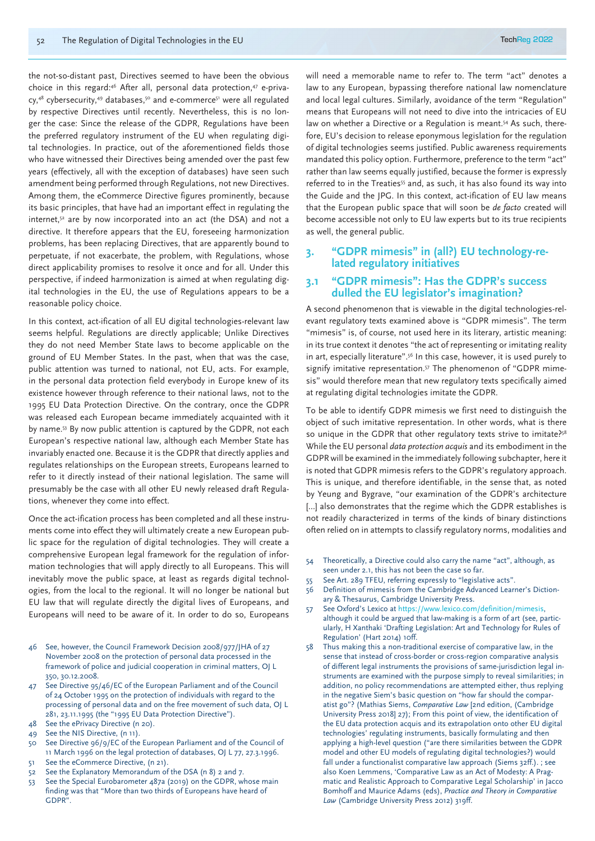the not-so-distant past, Directives seemed to have been the obvious choice in this regard:<sup>46</sup> After all, personal data protection,<sup>47</sup> e-priva $cy,48$  cybersecurity,  $49$  databases,  $50$  and e-commerce $51$  were all regulated by respective Directives until recently. Nevertheless, this is no longer the case: Since the release of the GDPR, Regulations have been the preferred regulatory instrument of the EU when regulating digital technologies. In practice, out of the aforementioned fields those who have witnessed their Directives being amended over the past few years (effectively, all with the exception of databases) have seen such amendment being performed through Regulations, not new Directives. Among them, the eCommerce Directive figures prominently, because its basic principles, that have had an important effect in regulating the internet,<sup>52</sup> are by now incorporated into an act (the DSA) and not a directive. It therefore appears that the EU, foreseeing harmonization problems, has been replacing Directives, that are apparently bound to perpetuate, if not exacerbate, the problem, with Regulations, whose direct applicability promises to resolve it once and for all. Under this perspective, if indeed harmonization is aimed at when regulating digital technologies in the EU, the use of Regulations appears to be a reasonable policy choice.

In this context, act-ification of all EU digital technologies-relevant law seems helpful. Regulations are directly applicable; Unlike Directives they do not need Member State laws to become applicable on the ground of EU Member States. In the past, when that was the case, public attention was turned to national, not EU, acts. For example, in the personal data protection field everybody in Europe knew of its existence however through reference to their national laws, not to the 1995 EU Data Protection Directive. On the contrary, once the GDPR was released each European became immediately acquainted with it by name.53 By now public attention is captured by the GDPR, not each European's respective national law, although each Member State has invariably enacted one. Because it is the GDPR that directly applies and regulates relationships on the European streets, Europeans learned to refer to it directly instead of their national legislation. The same will presumably be the case with all other EU newly released draft Regulations, whenever they come into effect.

Once the act-ification process has been completed and all these instruments come into effect they will ultimately create a new European public space for the regulation of digital technologies. They will create a comprehensive European legal framework for the regulation of information technologies that will apply directly to all Europeans. This will inevitably move the public space, at least as regards digital technologies, from the local to the regional. It will no longer be national but EU law that will regulate directly the digital lives of Europeans, and Europeans will need to be aware of it. In order to do so, Europeans

- 46 See, however, the Council Framework Decision 2008/977/JHA of 27 November 2008 on the protection of personal data processed in the framework of police and judicial cooperation in criminal matters, OJ L 350, 30.12.2008.
- See Directive 95/46/EC of the European Parliament and of the Council of 24 October 1995 on the protection of individuals with regard to the processing of personal data and on the free movement of such data, OJ L 281, 23.11.1995 (the "1995 EU Data Protection Directive").
- 48 See the ePrivacy Directive (n 20).
- 49 See the NIS Directive, (n 11).
- 50 See Directive 96/9/EC of the European Parliament and of the Council of 11 March 1996 on the legal protection of databases, OJ L 77, 27.3.1996. 51 See the eCommerce Directive, (n 21).
- 52 See the Explanatory Memorandum of the DSA (n 8) 2 and 7.
- 53 See the Special Eurobarometer 487a (2019) on the GDPR, whose main finding was that "More than two thirds of Europeans have heard of GDPR".

will need a memorable name to refer to. The term "act" denotes a law to any European, bypassing therefore national law nomenclature and local legal cultures. Similarly, avoidance of the term "Regulation" means that Europeans will not need to dive into the intricacies of EU law on whether a Directive or a Regulation is meant.<sup>54</sup> As such, therefore, EU's decision to release eponymous legislation for the regulation of digital technologies seems justified. Public awareness requirements mandated this policy option. Furthermore, preference to the term "act" rather than law seems equally justified, because the former is expressly referred to in the Treaties<sup>55</sup> and, as such, it has also found its way into the Guide and the JPG. In this context, act-ification of EU law means that the European public space that will soon be *de facto* created will become accessible not only to EU law experts but to its true recipients as well, the general public.

### **3. "GDPR mimesis" in (all?) EU technology-re- lated regulatory initiatives**

#### **3.1 "GDPR mimesis": Has the GDPR's success dulled the EU legislator's imagination?**

A second phenomenon that is viewable in the digital technologies-relevant regulatory texts examined above is "GDPR mimesis". The term "mimesis" is, of course, not used here in its literary, artistic meaning: in its true context it denotes "the act of representing or imitating reality in art, especially literature".<sup>56</sup> In this case, however, it is used purely to signify imitative representation.<sup>57</sup> The phenomenon of "GDPR mimesis" would therefore mean that new regulatory texts specifically aimed at regulating digital technologies imitate the GDPR.

To be able to identify GDPR mimesis we first need to distinguish the object of such imitative representation. In other words, what is there so unique in the GDPR that other regulatory texts strive to imitate.<sup>958</sup> While the EU personal *data protection acquis* and its embodiment in the GDPR will be examined in the immediately following subchapter, here it is noted that GDPR mimesis refers to the GDPR's regulatory approach. This is unique, and therefore identifiable, in the sense that, as noted by Yeung and Bygrave, "our examination of the GDPR's architecture [...] also demonstrates that the regime which the GDPR establishes is not readily characterized in terms of the kinds of binary distinctions often relied on in attempts to classify regulatory norms, modalities and

- 54 Theoretically, a Directive could also carry the name "act", although, as seen under 2.1, this has not been the case so far.
- 55 See Art. 289 TFEU, referring expressly to "legislative acts".
- 56 Definition of mimesis from the Cambridge Advanced Learner's Dictionary & Thesaurus, Cambridge University Press.
- 57 See Oxford's Lexico at https://www.lexico.com/definition/mimesis, although it could be argued that law-making is a form of art (see, particularly, H Xanthaki 'Drafting Legislation: Art and Technology for Rules of Regulation' (Hart 2014) 10ff.
- Thus making this a non-traditional exercise of comparative law, in the sense that instead of cross-border or cross-region comparative analysis of different legal instruments the provisions of same-jurisdiction legal instruments are examined with the purpose simply to reveal similarities; in addition, no policy recommendations are attempted either, thus replying in the negative Siem's basic question on "how far should the comparatist go"? (Mathias Siems, *Comparative Law* [2nd edition, (Cambridge University Press 2018] 27); From this point of view, the identification of the EU data protection acquis and its extrapolation onto other EU digital technologies' regulating instruments, basically formulating and then applying a high-level question ("are there similarities between the GDPR model and other EU models of regulating digital technologies?) would fall under a functionalist comparative law approach (Siems 32ff.). ; see also Koen Lemmens, 'Comparative Law as an Act of Modesty: A Pragmatic and Realistic Approach to Comparative Legal Scholarship' in Jacco Bomhoff and Maurice Adams (eds), *Practice and Theory in Comparative Law* (Cambridge University Press 2012) 319ff.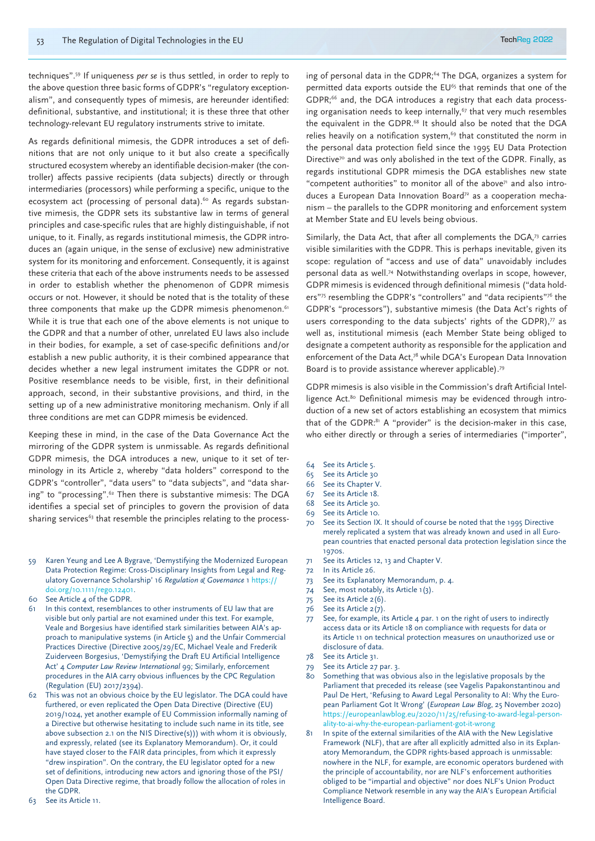techniques".59 If uniqueness *per se* is thus settled, in order to reply to the above question three basic forms of GDPR's "regulatory exceptionalism", and consequently types of mimesis, are hereunder identified: definitional, substantive, and institutional; it is these three that other technology-relevant EU regulatory instruments strive to imitate.

As regards definitional mimesis, the GDPR introduces a set of definitions that are not only unique to it but also create a specifically structured ecosystem whereby an identifiable decision-maker (the controller) affects passive recipients (data subjects) directly or through intermediaries (processors) while performing a specific, unique to the ecosystem act (processing of personal data).<sup>60</sup> As regards substantive mimesis, the GDPR sets its substantive law in terms of general principles and case-specific rules that are highly distinguishable, if not unique, to it. Finally, as regards institutional mimesis, the GDPR introduces an (again unique, in the sense of exclusive) new administrative system for its monitoring and enforcement. Consequently, it is against these criteria that each of the above instruments needs to be assessed in order to establish whether the phenomenon of GDPR mimesis occurs or not. However, it should be noted that is the totality of these three components that make up the GDPR mimesis phenomenon.<sup>61</sup> While it is true that each one of the above elements is not unique to the GDPR and that a number of other, unrelated EU laws also include in their bodies, for example, a set of case-specific definitions and/or establish a new public authority, it is their combined appearance that decides whether a new legal instrument imitates the GDPR or not. Positive resemblance needs to be visible, first, in their definitional approach, second, in their substantive provisions, and third, in the setting up of a new administrative monitoring mechanism. Only if all three conditions are met can GDPR mimesis be evidenced.

Keeping these in mind, in the case of the Data Governance Act the mirroring of the GDPR system is unmissable. As regards definitional GDPR mimesis, the DGA introduces a new, unique to it set of terminology in its Article 2, whereby "data holders" correspond to the GDPR's "controller", "data users" to "data subjects", and "data sharing" to "processing".<sup>62</sup> Then there is substantive mimesis: The DGA identifies a special set of principles to govern the provision of data sharing services<sup>63</sup> that resemble the principles relating to the process-

- 59 Karen Yeung and Lee A Bygrave, 'Demystifying the Modernized European Data Protection Regime: Cross-Disciplinary Insights from Legal and Regulatory Governance Scholarship' 16 *Regulation & Governance* 1 https:// doi.org/10.1111/rego.12401.
- See Article 4 of the GDPR.
- 61 In this context, resemblances to other instruments of EU law that are visible but only partial are not examined under this text. For example, Veale and Borgesius have identified stark similarities between AIA's approach to manipulative systems (in Article 5) and the Unfair Commercial Practices Directive (Directive 2005/29/EC, Michael Veale and Frederik Zuiderveen Borgesius, 'Demystifying the Draft EU Artificial Intelligence Act' 4 *Computer Law Review International* 99; Similarly, enforcement procedures in the AIA carry obvious influences by the CPC Regulation (Regulation (EU) 2017/2394).
- 62 This was not an obvious choice by the EU legislator. The DGA could have furthered, or even replicated the Open Data Directive (Directive (EU) 2019/1024, yet another example of EU Commission informally naming of a Directive but otherwise hesitating to include such name in its title, see above subsection 2.1 on the NIS Directive(s))) with whom it is obviously, and expressly, related (see its Explanatory Memorandum). Or, it could have stayed closer to the FAIR data principles, from which it expressly "drew inspiration". On the contrary, the EU legislator opted for a new set of definitions, introducing new actors and ignoring those of the PSI/ Open Data Directive regime, that broadly follow the allocation of roles in the GDPR.
- 63 See its Article 11.

ing of personal data in the GDPR;<sup>64</sup> The DGA, organizes a system for permitted data exports outside the EU<sup>65</sup> that reminds that one of the GDPR;<sup>66</sup> and, the DGA introduces a registry that each data processing organisation needs to keep internally, $67$  that very much resembles the equivalent in the GDPR.<sup>68</sup> It should also be noted that the DGA relies heavily on a notification system,<sup>69</sup> that constituted the norm in the personal data protection field since the 1995 EU Data Protection Directive<sup>70</sup> and was only abolished in the text of the GDPR. Finally, as regards institutional GDPR mimesis the DGA establishes new state "competent authorities" to monitor all of the above $71$  and also introduces a European Data Innovation Board<sup>72</sup> as a cooperation mechanism – the parallels to the GDPR monitoring and enforcement system at Member State and EU levels being obvious.

Similarly, the Data Act, that after all complements the DGA,<sup>73</sup> carries visible similarities with the GDPR. This is perhaps inevitable, given its scope: regulation of "access and use of data" unavoidably includes personal data as well.74 Notwithstanding overlaps in scope, however, GDPR mimesis is evidenced through definitional mimesis ("data holders"75 resembling the GDPR's "controllers" and "data recipients"76 the GDPR's "processors"), substantive mimesis (the Data Act's rights of users corresponding to the data subjects' rights of the GDPR), $\pi$  as well as, institutional mimesis (each Member State being obliged to designate a competent authority as responsible for the application and enforcement of the Data Act,<sup>78</sup> while DGA's European Data Innovation Board is to provide assistance wherever applicable).79

GDPR mimesis is also visible in the Commission's draft Artificial Intelligence Act.<sup>80</sup> Definitional mimesis may be evidenced through introduction of a new set of actors establishing an ecosystem that mimics that of the GDPR:<sup>81</sup> A "provider" is the decision-maker in this case, who either directly or through a series of intermediaries ("importer",

- 64 See its Article 5.
- 65 See its Article 30
- 66 See its Chapter V.
- 67 See its Article 18.
- 68 See its Article 30.
- 69 See its Article 10.
- 70 See its Section IX. It should of course be noted that the 1995 Directive merely replicated a system that was already known and used in all European countries that enacted personal data protection legislation since the 1970s.
- 71 See its Articles 12, 13 and Chapter V.
- 72 In its Article 26.
- 73 See its Explanatory Memorandum, p. 4.
- 74 See, most notably, its Article 1(3).
- 75 See its Article 2(6).
- 76 See its Article 2(7).
- 77 See, for example, its Article 4 par. 1 on the right of users to indirectly access data or its Article 18 on compliance with requests for data or its Article 11 on technical protection measures on unauthorized use or disclosure of data.
- 78 See its Article 31.
- 79 See its Article 27 par. 3.
- 80 Something that was obvious also in the legislative proposals by the Parliament that preceded its release (see Vagelis Papakonstantinou and Paul De Hert, 'Refusing to Award Legal Personality to AI: Why the European Parliament Got It Wrong' (*European Law Blog*, 25 November 2020) https://europeanlawblog.eu/2020/11/25/refusing-to-award-legal-personality-to-ai-why-the-european-parliament-got-it-wrong
- In spite of the external similarities of the AIA with the New Legislative Framework (NLF), that are after all explicitly admitted also in its Explanatory Memorandum, the GDPR rights-based approach is unmissable: nowhere in the NLF, for example, are economic operators burdened with the principle of accountability, nor are NLF's enforcement authorities obliged to be "impartial and objective" nor does NLF's Union Product Compliance Network resemble in any way the AIA's European Artificial Intelligence Board.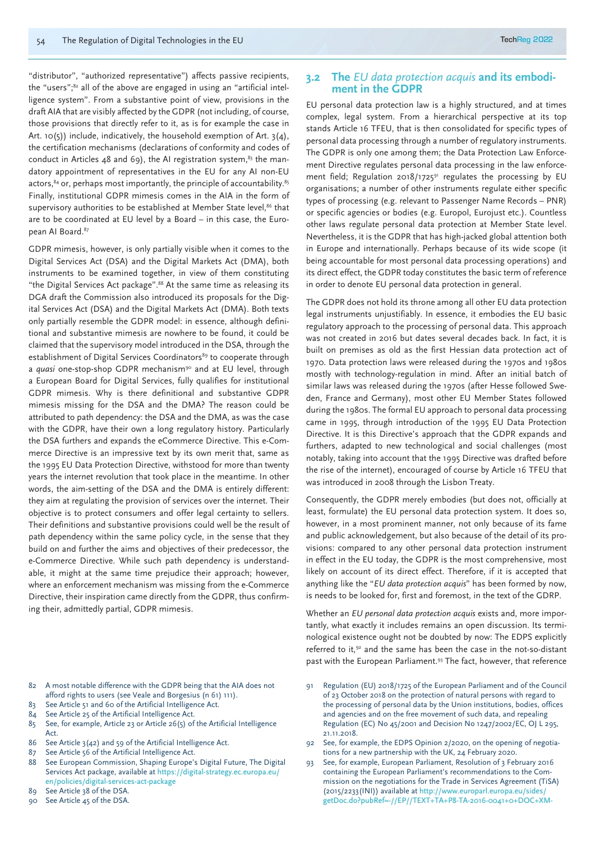"distributor", "authorized representative") affects passive recipients, the "users";<sup>82</sup> all of the above are engaged in using an "artificial intelligence system". From a substantive point of view, provisions in the draft AIA that are visibly affected by the GDPR (not including, of course, those provisions that directly refer to it, as is for example the case in Art. 10(5)) include, indicatively, the household exemption of Art. 3(4), the certification mechanisms (declarations of conformity and codes of conduct in Articles 48 and 69), the AI registration system, $83$  the mandatory appointment of representatives in the EU for any AI non-EU actors,  $84$  or, perhaps most importantly, the principle of accountability.  $85$ Finally, institutional GDPR mimesis comes in the AIA in the form of supervisory authorities to be established at Member State level,<sup>86</sup> that are to be coordinated at EU level by a Board – in this case, the European AI Board.<sup>87</sup>

GDPR mimesis, however, is only partially visible when it comes to the Digital Services Act (DSA) and the Digital Markets Act (DMA), both instruments to be examined together, in view of them constituting "the Digital Services Act package".88 At the same time as releasing its DGA draft the Commission also introduced its proposals for the Digital Services Act (DSA) and the Digital Markets Act (DMA). Both texts only partially resemble the GDPR model: in essence, although definitional and substantive mimesis are nowhere to be found, it could be claimed that the supervisory model introduced in the DSA, through the establishment of Digital Services Coordinators<sup>89</sup> to cooperate through a *quasi* one-stop-shop GDPR mechanism<sup>90</sup> and at EU level, through a European Board for Digital Services, fully qualifies for institutional GDPR mimesis. Why is there definitional and substantive GDPR mimesis missing for the DSA and the DMA? The reason could be attributed to path dependency: the DSA and the DMA, as was the case with the GDPR, have their own a long regulatory history. Particularly the DSA furthers and expands the eCommerce Directive. This e-Commerce Directive is an impressive text by its own merit that, same as the 1995 EU Data Protection Directive, withstood for more than twenty years the internet revolution that took place in the meantime. In other words, the aim-setting of the DSA and the DMA is entirely different: they aim at regulating the provision of services over the internet. Their objective is to protect consumers and offer legal certainty to sellers. Their definitions and substantive provisions could well be the result of path dependency within the same policy cycle, in the sense that they build on and further the aims and objectives of their predecessor, the e-Commerce Directive. While such path dependency is understandable, it might at the same time prejudice their approach; however, where an enforcement mechanism was missing from the e-Commerce Directive, their inspiration came directly from the GDPR, thus confirming their, admittedly partial, GDPR mimesis.

- 82 A most notable difference with the GDPR being that the AIA does not afford rights to users (see Veale and Borgesius (n 61) 111).
- 83 See Article 51 and 60 of the Artificial Intelligence Act.
- 84 See Article 25 of the Artificial Intelligence Act.
- 85 See, for example, Article 23 or Article 26(5) of the Artificial Intelligence Act.
- 86 See Article 3(42) and 59 of the Artificial Intelligence Act.
- 87 See Article 56 of the Artificial Intelligence Act.
- 88 See European Commission, Shaping Europe's Digital Future, The Digital Services Act package, available at https://digital-strategy.ec.europa.eu/ en/policies/digital-services-act-package
- 89 See Article 38 of the DSA.
- 90 See Article 45 of the DSA.

#### **3.2 The** *EU data protection acquis* **and its embodiment in the GDPR**

EU personal data protection law is a highly structured, and at times complex, legal system. From a hierarchical perspective at its top stands Article 16 TFEU, that is then consolidated for specific types of personal data processing through a number of regulatory instruments. The GDPR is only one among them; the Data Protection Law Enforcement Directive regulates personal data processing in the law enforcement field; Regulation 2018/1725 $91$  regulates the processing by EU organisations; a number of other instruments regulate either specific types of processing (e.g. relevant to Passenger Name Records – PNR) or specific agencies or bodies (e.g. Europol, Eurojust etc.). Countless other laws regulate personal data protection at Member State level. Nevertheless, it is the GDPR that has high-jacked global attention both in Europe and internationally. Perhaps because of its wide scope (it being accountable for most personal data processing operations) and its direct effect, the GDPR today constitutes the basic term of reference in order to denote EU personal data protection in general.

The GDPR does not hold its throne among all other EU data protection legal instruments unjustifiably. In essence, it embodies the EU basic regulatory approach to the processing of personal data. This approach was not created in 2016 but dates several decades back. In fact, it is built on premises as old as the first Hessian data protection act of 1970. Data protection laws were released during the 1970s and 1980s mostly with technology-regulation in mind. After an initial batch of similar laws was released during the 1970s (after Hesse followed Sweden, France and Germany), most other EU Member States followed during the 1980s. The formal EU approach to personal data processing came in 1995, through introduction of the 1995 EU Data Protection Directive. It is this Directive's approach that the GDPR expands and furthers, adapted to new technological and social challenges (most notably, taking into account that the 1995 Directive was drafted before the rise of the internet), encouraged of course by Article 16 TFEU that was introduced in 2008 through the Lisbon Treaty.

Consequently, the GDPR merely embodies (but does not, officially at least, formulate) the EU personal data protection system. It does so, however, in a most prominent manner, not only because of its fame and public acknowledgement, but also because of the detail of its provisions: compared to any other personal data protection instrument in effect in the EU today, the GDPR is the most comprehensive, most likely on account of its direct effect. Therefore, if it is accepted that anything like the "*EU data protection acquis*" has been formed by now, is needs to be looked for, first and foremost, in the text of the GDRP.

Whether an *EU personal data protection acquis* exists and, more importantly, what exactly it includes remains an open discussion. Its terminological existence ought not be doubted by now: The EDPS explicitly referred to it,<sup>92</sup> and the same has been the case in the not-so-distant past with the European Parliament.<sup>93</sup> The fact, however, that reference

- Regulation (EU) 2018/1725 of the European Parliament and of the Council of 23 October 2018 on the protection of natural persons with regard to the processing of personal data by the Union institutions, bodies, offices and agencies and on the free movement of such data, and repealing Regulation (EC) No 45/2001 and Decision No 1247/2002/EC, OJ L 295, 21.11.2018.
- 92 See, for example, the EDPS Opinion 2/2020, on the opening of negotiations for a new partnership with the UK, 24 February 2020.
- 93 See, for example, European Parliament, Resolution of 3 February 2016 containing the European Parliament's recommendations to the Commission on the negotiations for the Trade in Services Agreement (TiSA) (2015/2233(INI)) available at http://www.europarl.europa.eu/sides/ getDoc.do?pubRef=-//EP//TEXT+TA+P8-TA-2016-0041+0+DOC+XM-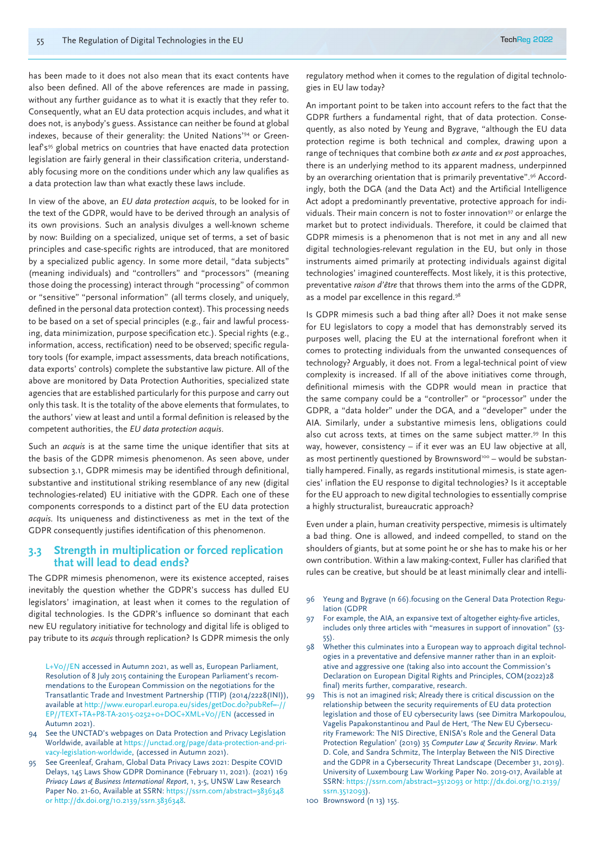has been made to it does not also mean that its exact contents have also been defined. All of the above references are made in passing, without any further guidance as to what it is exactly that they refer to. Consequently, what an EU data protection acquis includes, and what it does not, is anybody's guess. Assistance can neither be found at global indexes, because of their generality: the United Nations'94 or Greenleaf's<sup>95</sup> global metrics on countries that have enacted data protection legislation are fairly general in their classification criteria, understandably focusing more on the conditions under which any law qualifies as a data protection law than what exactly these laws include.

In view of the above, an *EU data protection acquis*, to be looked for in the text of the GDPR, would have to be derived through an analysis of its own provisions. Such an analysis divulges a well-known scheme by now: Building on a specialized, unique set of terms, a set of basic principles and case-specific rights are introduced, that are monitored by a specialized public agency. In some more detail, "data subjects" (meaning individuals) and "controllers" and "processors" (meaning those doing the processing) interact through "processing" of common or "sensitive" "personal information" (all terms closely, and uniquely, defined in the personal data protection context). This processing needs to be based on a set of special principles (e.g., fair and lawful processing, data minimization, purpose specification etc.). Special rights (e.g., information, access, rectification) need to be observed; specific regulatory tools (for example, impact assessments, data breach notifications, data exports' controls) complete the substantive law picture. All of the above are monitored by Data Protection Authorities, specialized state agencies that are established particularly for this purpose and carry out only this task. It is the totality of the above elements that formulates, to the authors' view at least and until a formal definition is released by the competent authorities, the *EU data protection acquis*.

Such an *acquis* is at the same time the unique identifier that sits at the basis of the GDPR mimesis phenomenon. As seen above, under subsection 3.1, GDPR mimesis may be identified through definitional, substantive and institutional striking resemblance of any new (digital technologies-related) EU initiative with the GDPR. Each one of these components corresponds to a distinct part of the EU data protection *acquis*. Its uniqueness and distinctiveness as met in the text of the GDPR consequently justifies identification of this phenomenon.

#### **3.3 Strength in multiplication or forced replication that will lead to dead ends?**

The GDPR mimesis phenomenon, were its existence accepted, raises inevitably the question whether the GDPR's success has dulled EU legislators' imagination, at least when it comes to the regulation of digital technologies. Is the GDPR's influence so dominant that each new EU regulatory initiative for technology and digital life is obliged to pay tribute to its *acquis* through replication? Is GDPR mimesis the only

L+V0//EN accessed in Autumn 2021, as well as, European Parliament, Resolution of 8 July 2015 containing the European Parliament's recommendations to the European Commission on the negotiations for the Transatlantic Trade and Investment Partnership (TTIP) (2014/2228(INI)), available at http://www.europarl.europa.eu/sides/getDoc.do?pubRef=-EP//TEXT+TA+P8-TA-2015-0252+0+DOC+XML+V0//EN (accessed in Autumn 2021).

- 94 See the UNCTAD's webpages on Data Protection and Privacy Legislation Worldwide, available at https://unctad.org/page/data-protection-and-privacy-legislation-worldwide, (accessed in Autumn 2021).
- 95 See Greenleaf, Graham, Global Data Privacy Laws 2021: Despite COVID Delays, 145 Laws Show GDPR Dominance (February 11, 2021). (2021) 169 *Privacy Laws & Business International Report*, 1, 3-5, UNSW Law Research Paper No. 21-60, Available at SSRN: https://ssrn.com/abstract=3836348 or http://dx.doi.org/10.2139/ssrn.3836348.

regulatory method when it comes to the regulation of digital technologies in EU law today?

An important point to be taken into account refers to the fact that the GDPR furthers a fundamental right, that of data protection. Consequently, as also noted by Yeung and Bygrave, "although the EU data protection regime is both technical and complex, drawing upon a range of techniques that combine both *ex ante* and *ex post* approaches, there is an underlying method to its apparent madness, underpinned by an overarching orientation that is primarily preventative".96 Accordingly, both the DGA (and the Data Act) and the Artificial Intelligence Act adopt a predominantly preventative, protective approach for individuals. Their main concern is not to foster innovation<sup>97</sup> or enlarge the market but to protect individuals. Therefore, it could be claimed that GDPR mimesis is a phenomenon that is not met in any and all new digital technologies-relevant regulation in the EU, but only in those instruments aimed primarily at protecting individuals against digital technologies' imagined countereffects. Most likely, it is this protective, preventative *raison d'être* that throws them into the arms of the GDPR, as a model par excellence in this regard.<sup>98</sup>

Is GDPR mimesis such a bad thing after all? Does it not make sense for EU legislators to copy a model that has demonstrably served its purposes well, placing the EU at the international forefront when it comes to protecting individuals from the unwanted consequences of technology? Arguably, it does not. From a legal-technical point of view complexity is increased. If all of the above initiatives come through, definitional mimesis with the GDPR would mean in practice that the same company could be a "controller" or "processor" under the GDPR, a "data holder" under the DGA, and a "developer" under the AIA. Similarly, under a substantive mimesis lens, obligations could also cut across texts, at times on the same subiect matter.<sup>99</sup> In this way, however, consistency – if it ever was an EU law objective at all, as most pertinently questioned by Brownsword<sup>100</sup> – would be substantially hampered. Finally, as regards institutional mimesis, is state agencies' inflation the EU response to digital technologies? Is it acceptable for the EU approach to new digital technologies to essentially comprise a highly structuralist, bureaucratic approach?

Even under a plain, human creativity perspective, mimesis is ultimately a bad thing. One is allowed, and indeed compelled, to stand on the shoulders of giants, but at some point he or she has to make his or her own contribution. Within a law making-context, Fuller has clarified that rules can be creative, but should be at least minimally clear and intelli-

- 96 Yeung and Bygrave (n 66).focusing on the General Data Protection Regulation (GDPR
- 97 For example, the AIA, an expansive text of altogether eighty-five articles, includes only three articles with "measures in support of innovation" (53- 55).
- Whether this culminates into a European way to approach digital technologies in a preventative and defensive manner rather than in an exploitative and aggressive one (taking also into account the Commission's Declaration on European Digital Rights and Principles, COM(2022)28 final) merits further, comparative, research.
- 99 This is not an imagined risk; Already there is critical discussion on the relationship between the security requirements of EU data protection legislation and those of EU cybersecurity laws (see Dimitra Markopoulou, Vagelis Papakonstantinou and Paul de Hert, 'The New EU Cybersecurity Framework: The NIS Directive, ENISA's Role and the General Data Protection Regulation' (2019) 35 *Computer Law & Security Review*. Mark D. Cole, and Sandra Schmitz, The Interplay Between the NIS Directive and the GDPR in a Cybersecurity Threat Landscape (December 31, 2019). University of Luxembourg Law Working Paper No. 2019-017, Available at SSRN: https://ssrn.com/abstract=3512093 or http://dx.doi.org/10.2139/ ssrn.3512093).
- 100 Brownsword (n 13) 155.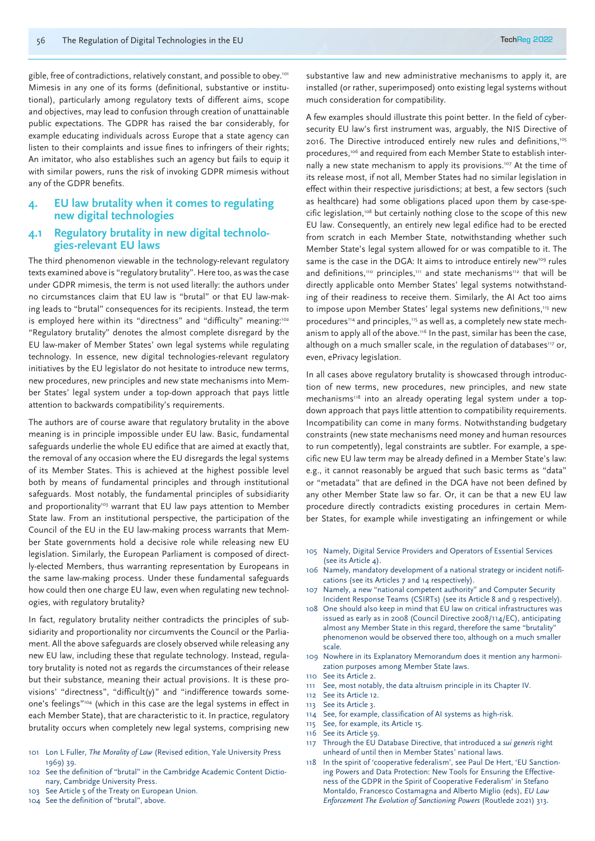gible, free of contradictions, relatively constant, and possible to obey.<sup>101</sup> Mimesis in any one of its forms (definitional, substantive or institutional), particularly among regulatory texts of different aims, scope and objectives, may lead to confusion through creation of unattainable public expectations. The GDPR has raised the bar considerably, for example educating individuals across Europe that a state agency can listen to their complaints and issue fines to infringers of their rights; An imitator, who also establishes such an agency but fails to equip it with similar powers, runs the risk of invoking GDPR mimesis without any of the GDPR benefits.

#### **4. EU law brutality when it comes to regulating new digital technologies**

### **4.1 Regulatory brutality in new digital technolo- gies-relevant EU laws**

The third phenomenon viewable in the technology-relevant regulatory texts examined above is "regulatory brutality". Here too, as was the case under GDPR mimesis, the term is not used literally: the authors under no circumstances claim that EU law is "brutal" or that EU law-making leads to "brutal" consequences for its recipients. Instead, the term is employed here within its "directness" and "difficulty" meaning:<sup>102</sup> "Regulatory brutality" denotes the almost complete disregard by the EU law-maker of Member States' own legal systems while regulating technology. In essence, new digital technologies-relevant regulatory initiatives by the EU legislator do not hesitate to introduce new terms, new procedures, new principles and new state mechanisms into Member States' legal system under a top-down approach that pays little attention to backwards compatibility's requirements.

The authors are of course aware that regulatory brutality in the above meaning is in principle impossible under EU law. Basic, fundamental safeguards underlie the whole EU edifice that are aimed at exactly that, the removal of any occasion where the EU disregards the legal systems of its Member States. This is achieved at the highest possible level both by means of fundamental principles and through institutional safeguards. Most notably, the fundamental principles of subsidiarity and proportionality<sup>103</sup> warrant that EU law pays attention to Member State law. From an institutional perspective, the participation of the Council of the EU in the EU law-making process warrants that Member State governments hold a decisive role while releasing new EU legislation. Similarly, the European Parliament is composed of directly-elected Members, thus warranting representation by Europeans in the same law-making process. Under these fundamental safeguards how could then one charge EU law, even when regulating new technologies, with regulatory brutality?

In fact, regulatory brutality neither contradicts the principles of subsidiarity and proportionality nor circumvents the Council or the Parliament. All the above safeguards are closely observed while releasing any new EU law, including these that regulate technology. Instead, regulatory brutality is noted not as regards the circumstances of their release but their substance, meaning their actual provisions. It is these provisions' "directness", "difficult(y)" and "indifference towards someone's feelings"104 (which in this case are the legal systems in effect in each Member State), that are characteristic to it. In practice, regulatory brutality occurs when completely new legal systems, comprising new

- 101 Lon L Fuller, *The Morality of Law* (Revised edition, Yale University Press 1969) 39.
- 102 See the definition of "brutal" in the Cambridge Academic Content Dictionary, Cambridge University Press.
- 103 See Article 5 of the Treaty on European Union.
- 104 See the definition of "brutal", above.

substantive law and new administrative mechanisms to apply it, are installed (or rather, superimposed) onto existing legal systems without much consideration for compatibility.

A few examples should illustrate this point better. In the field of cybersecurity EU law's first instrument was, arguably, the NIS Directive of 2016. The Directive introduced entirely new rules and definitions,<sup>105</sup> procedures,<sup>106</sup> and required from each Member State to establish internally a new state mechanism to apply its provisions.<sup>107</sup> At the time of its release most, if not all, Member States had no similar legislation in effect within their respective jurisdictions; at best, a few sectors (such as healthcare) had some obligations placed upon them by case-specific legislation,<sup>108</sup> but certainly nothing close to the scope of this new EU law. Consequently, an entirely new legal edifice had to be erected from scratch in each Member State, notwithstanding whether such Member State's legal system allowed for or was compatible to it. The same is the case in the DGA: It aims to introduce entirely new<sup>109</sup> rules and definitions,<sup>110</sup> principles,<sup>111</sup> and state mechanisms<sup>112</sup> that will be directly applicable onto Member States' legal systems notwithstanding of their readiness to receive them. Similarly, the AI Act too aims to impose upon Member States' legal systems new definitions,<sup>113</sup> new procedures<sup>114</sup> and principles,<sup>115</sup> as well as, a completely new state mechanism to apply all of the above.<sup>116</sup> In the past, similar has been the case, although on a much smaller scale, in the regulation of databases<sup>117</sup> or, even, ePrivacy legislation.

In all cases above regulatory brutality is showcased through introduction of new terms, new procedures, new principles, and new state mechanisms<sup>118</sup> into an already operating legal system under a topdown approach that pays little attention to compatibility requirements. Incompatibility can come in many forms. Notwithstanding budgetary constraints (new state mechanisms need money and human resources to run competently), legal constraints are subtler. For example, a specific new EU law term may be already defined in a Member State's law: e.g., it cannot reasonably be argued that such basic terms as "data" or "metadata" that are defined in the DGA have not been defined by any other Member State law so far. Or, it can be that a new EU law procedure directly contradicts existing procedures in certain Member States, for example while investigating an infringement or while

- 105 Namely, Digital Service Providers and Operators of Essential Services (see its Article 4).
- 106 Namely, mandatory development of a national strategy or incident notifications (see its Articles 7 and 14 respectively).
- 107 Namely, a new "national competent authority" and Computer Security Incident Response Teams (CSIRTs) (see its Article 8 and 9 respectively).
- 108 One should also keep in mind that EU law on critical infrastructures was issued as early as in 2008 (Council Directive 2008/114/EC), anticipating almost any Member State in this regard, therefore the same "brutality" phenomenon would be observed there too, although on a much smaller scale.
- 109 Nowhere in its Explanatory Memorandum does it mention any harmonization purposes among Member State laws.
- 110 See its Article 2.
- 111 See, most notably, the data altruism principle in its Chapter IV.
- 112 See its Article 12.
- 113 See its Article 3.
- 114 See, for example, classification of AI systems as high-risk.
- 115 See, for example, its Article 15.
- 116 See its Article 59.
- 117 Through the EU Database Directive, that introduced a *sui generis* right unheard of until then in Member States' national laws.
- 118 In the spirit of 'cooperative federalism', see Paul De Hert, 'EU Sanctioning Powers and Data Protection: New Tools for Ensuring the Effectiveness of the GDPR in the Spirit of Cooperative Federalism' in Stefano Montaldo, Francesco Costamagna and Alberto Miglio (eds), *EU Law Enforcement The Evolution of Sanctioning Powers* (Routlede 2021) 313.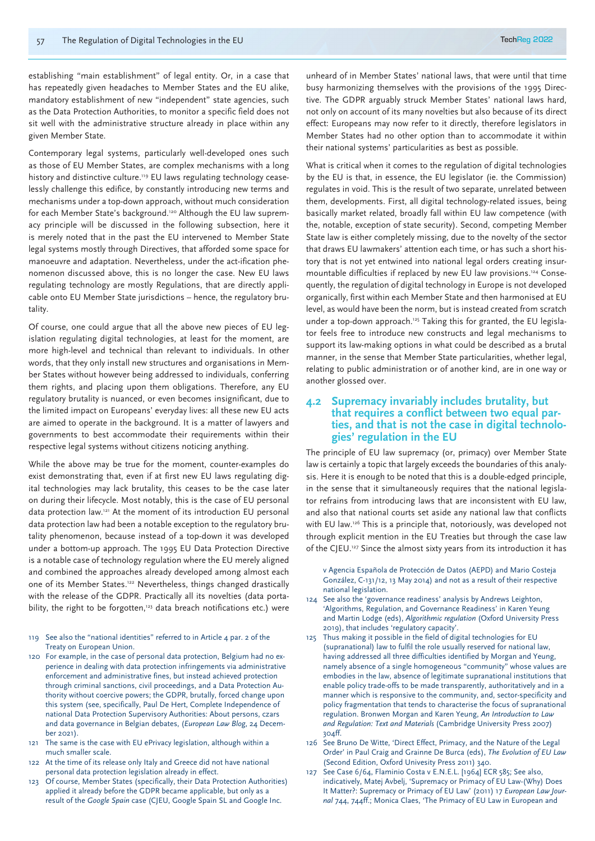establishing "main establishment" of legal entity. Or, in a case that has repeatedly given headaches to Member States and the EU alike, mandatory establishment of new "independent" state agencies, such as the Data Protection Authorities, to monitor a specific field does not sit well with the administrative structure already in place within any given Member State.

Contemporary legal systems, particularly well-developed ones such as those of EU Member States, are complex mechanisms with a long history and distinctive culture.<sup>119</sup> EU laws regulating technology ceaselessly challenge this edifice, by constantly introducing new terms and mechanisms under a top-down approach, without much consideration for each Member State's background.120 Although the EU law supremacy principle will be discussed in the following subsection, here it is merely noted that in the past the EU intervened to Member State legal systems mostly through Directives, that afforded some space for manoeuvre and adaptation. Nevertheless, under the act-ification phenomenon discussed above, this is no longer the case. New EU laws regulating technology are mostly Regulations, that are directly applicable onto EU Member State jurisdictions – hence, the regulatory brutality.

Of course, one could argue that all the above new pieces of EU legislation regulating digital technologies, at least for the moment, are more high-level and technical than relevant to individuals. In other words, that they only install new structures and organisations in Member States without however being addressed to individuals, conferring them rights, and placing upon them obligations. Therefore, any EU regulatory brutality is nuanced, or even becomes insignificant, due to the limited impact on Europeans' everyday lives: all these new EU acts are aimed to operate in the background. It is a matter of lawyers and governments to best accommodate their requirements within their respective legal systems without citizens noticing anything.

While the above may be true for the moment, counter-examples do exist demonstrating that, even if at first new EU laws regulating digital technologies may lack brutality, this ceases to be the case later on during their lifecycle. Most notably, this is the case of EU personal data protection law.121 At the moment of its introduction EU personal data protection law had been a notable exception to the regulatory brutality phenomenon, because instead of a top-down it was developed under a bottom-up approach. The 1995 EU Data Protection Directive is a notable case of technology regulation where the EU merely aligned and combined the approaches already developed among almost each one of its Member States.<sup>122</sup> Nevertheless, things changed drastically with the release of the GDPR. Practically all its novelties (data portability, the right to be forgotten, $123$  data breach notifications etc.) were

- 119 See also the "national identities" referred to in Article 4 par. 2 of the Treaty on European Union.
- 120 For example, in the case of personal data protection, Belgium had no experience in dealing with data protection infringements via administrative enforcement and administrative fines, but instead achieved protection through criminal sanctions, civil proceedings, and a Data Protection Authority without coercive powers; the GDPR, brutally, forced change upon this system (see, specifically, Paul De Hert, Complete Independence of national Data Protection Supervisory Authorities: About persons, czars and data governance in Belgian debates, (*European Law Blog*, 24 December 2021).
- 121 The same is the case with EU ePrivacy legislation, although within a much smaller scale.
- 122 At the time of its release only Italy and Greece did not have national personal data protection legislation already in effect.
- 123 Of course, Member States (specifically, their Data Protection Authorities) applied it already before the GDPR became applicable, but only as a result of the *Google Spain* case (CJEU, Google Spain SL and Google Inc.

unheard of in Member States' national laws, that were until that time busy harmonizing themselves with the provisions of the 1995 Directive. The GDPR arguably struck Member States' national laws hard, not only on account of its many novelties but also because of its direct effect: Europeans may now refer to it directly, therefore legislators in Member States had no other option than to accommodate it within their national systems' particularities as best as possible.

What is critical when it comes to the regulation of digital technologies by the EU is that, in essence, the EU legislator (ie. the Commission) regulates in void. This is the result of two separate, unrelated between them, developments. First, all digital technology-related issues, being basically market related, broadly fall within EU law competence (with the, notable, exception of state security). Second, competing Member State law is either completely missing, due to the novelty of the sector that draws EU lawmakers' attention each time, or has such a short history that is not yet entwined into national legal orders creating insurmountable difficulties if replaced by new EU law provisions.<sup>124</sup> Consequently, the regulation of digital technology in Europe is not developed organically, first within each Member State and then harmonised at EU level, as would have been the norm, but is instead created from scratch under a top-down approach.<sup>125</sup> Taking this for granted, the EU legislator feels free to introduce new constructs and legal mechanisms to support its law-making options in what could be described as a brutal manner, in the sense that Member State particularities, whether legal, relating to public administration or of another kind, are in one way or another glossed over.

#### **4.2 Supremacy invariably includes brutality, but that requires a conflict between two equal parties, and that is not the case in digital technologies' regulation in the EU**

The principle of EU law supremacy (or, primacy) over Member State law is certainly a topic that largely exceeds the boundaries of this analysis. Here it is enough to be noted that this is a double-edged principle, in the sense that it simultaneously requires that the national legislator refrains from introducing laws that are inconsistent with EU law, and also that national courts set aside any national law that conflicts with EU law.<sup>126</sup> This is a principle that, notoriously, was developed not through explicit mention in the EU Treaties but through the case law of the CJEU.<sup>127</sup> Since the almost sixty years from its introduction it has

v Agencia Española de Protección de Datos (AEPD) and Mario Costeja González, C-131/12, 13 May 2014) and not as a result of their respective national legislation.

- 124 See also the 'governance readiness' analysis by Andrews Leighton, 'Algorithms, Regulation, and Governance Readiness' in Karen Yeung and Martin Lodge (eds), *Algorithmic regulation* (Oxford University Press 2019), that includes 'regulatory capacity'.
- 125 Thus making it possible in the field of digital technologies for EU (supranational) law to fulfil the role usually reserved for national law, having addressed all three difficulties identified by Morgan and Yeung, namely absence of a single homogeneous "community" whose values are embodies in the law, absence of legitimate supranational institutions that enable policy trade-offs to be made transparently, authoritatively and in a manner which is responsive to the community, and, sector-specificity and policy fragmentation that tends to characterise the focus of supranational regulation. Bronwen Morgan and Karen Yeung, *An Introduction to Law and Regulation: Text and Materials* (Cambridge University Press 2007) 304ff.
- 126 See Bruno De Witte, 'Direct Effect, Primacy, and the Nature of the Legal Order' in Paul Craig and Grainne De Burca (eds), *The Evolution of EU Law* (Second Edition, Oxford Univesity Press 2011) 340.
- 127 See Case 6/64, Flaminio Costa v E.N.E.L. [1964] ECR 585; See also, indicatively, Matej Avbelj, 'Supremacy or Primacy of EU Law-(Why) Does It Matter?: Supremacy or Primacy of EU Law' (2011) 17 *European Law Journal* 744, 744ff.; Monica Claes, 'The Primacy of EU Law in European and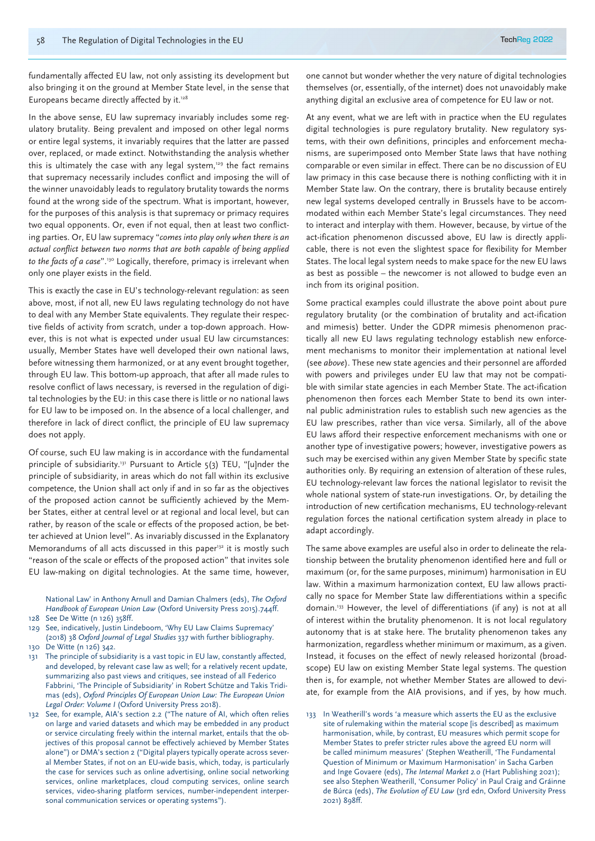fundamentally affected EU law, not only assisting its development but also bringing it on the ground at Member State level, in the sense that Europeans became directly affected by it.<sup>128</sup>

In the above sense, EU law supremacy invariably includes some regulatory brutality. Being prevalent and imposed on other legal norms or entire legal systems, it invariably requires that the latter are passed over, replaced, or made extinct. Notwithstanding the analysis whether this is ultimately the case with any legal system, $129$  the fact remains that supremacy necessarily includes conflict and imposing the will of the winner unavoidably leads to regulatory brutality towards the norms found at the wrong side of the spectrum. What is important, however, for the purposes of this analysis is that supremacy or primacy requires two equal opponents. Or, even if not equal, then at least two conflicting parties. Or, EU law supremacy "*comes into play only when there is an actual conflict between two norms that are both capable of being applied to the facts of a case*".130 Logically, therefore, primacy is irrelevant when only one player exists in the field.

This is exactly the case in EU's technology-relevant regulation: as seen above, most, if not all, new EU laws regulating technology do not have to deal with any Member State equivalents. They regulate their respective fields of activity from scratch, under a top-down approach. However, this is not what is expected under usual EU law circumstances: usually, Member States have well developed their own national laws, before witnessing them harmonized, or at any event brought together, through EU law. This bottom-up approach, that after all made rules to resolve conflict of laws necessary, is reversed in the regulation of digital technologies by the EU: in this case there is little or no national laws for EU law to be imposed on. In the absence of a local challenger, and therefore in lack of direct conflict, the principle of EU law supremacy does not apply.

Of course, such EU law making is in accordance with the fundamental principle of subsidiarity.<sup>131</sup> Pursuant to Article 5(3) TEU, "[u]nder the principle of subsidiarity, in areas which do not fall within its exclusive competence, the Union shall act only if and in so far as the objectives of the proposed action cannot be sufficiently achieved by the Member States, either at central level or at regional and local level, but can rather, by reason of the scale or effects of the proposed action, be better achieved at Union level". As invariably discussed in the Explanatory Memorandums of all acts discussed in this paper<sup>132</sup> it is mostly such "reason of the scale or effects of the proposed action" that invites sole EU law-making on digital technologies. At the same time, however,

National Law' in Anthony Arnull and Damian Chalmers (eds), *The Oxford Handbook of European Union Law* (Oxford University Press 2015).744ff.

- 128 See De Witte (n 126) 358ff.
- 129 See, indicatively, Justin Lindeboom, 'Why EU Law Claims Supremacy' (2018) 38 *Oxford Journal of Legal Studies* 337 with further bibliography. 130 De Witte (n 126) 342.
- 131 The principle of subsidiarity is a vast topic in EU law, constantly affected, and developed, by relevant case law as well; for a relatively recent update, summarizing also past views and critiques, see instead of all Federico Fabbrini, 'The Principle of Subsidiarity' in Robert Schütze and Takis Tridimas (eds), *Oxford Principles Of European Union Law: The European Union Legal Order: Volume I* (Oxford University Press 2018).
- 132 See, for example, AIA's section 2.2 ("The nature of AI, which often relies on large and varied datasets and which may be embedded in any product or service circulating freely within the internal market, entails that the objectives of this proposal cannot be effectively achieved by Member States alone") or DMA's section 2 ("Digital players typically operate across several Member States, if not on an EU-wide basis, which, today, is particularly the case for services such as online advertising, online social networking services, online marketplaces, cloud computing services, online search services, video-sharing platform services, number-independent interpersonal communication services or operating systems").

one cannot but wonder whether the very nature of digital technologies themselves (or, essentially, of the internet) does not unavoidably make anything digital an exclusive area of competence for EU law or not.

At any event, what we are left with in practice when the EU regulates digital technologies is pure regulatory brutality. New regulatory systems, with their own definitions, principles and enforcement mechanisms, are superimposed onto Member State laws that have nothing comparable or even similar in effect. There can be no discussion of EU law primacy in this case because there is nothing conflicting with it in Member State law. On the contrary, there is brutality because entirely new legal systems developed centrally in Brussels have to be accommodated within each Member State's legal circumstances. They need to interact and interplay with them. However, because, by virtue of the act-ification phenomenon discussed above, EU law is directly applicable, there is not even the slightest space for flexibility for Member States. The local legal system needs to make space for the new EU laws as best as possible – the newcomer is not allowed to budge even an inch from its original position.

Some practical examples could illustrate the above point about pure regulatory brutality (or the combination of brutality and act-ification and mimesis) better. Under the GDPR mimesis phenomenon practically all new EU laws regulating technology establish new enforcement mechanisms to monitor their implementation at national level (see *above*). These new state agencies and their personnel are afforded with powers and privileges under EU law that may not be compatible with similar state agencies in each Member State. The act-ification phenomenon then forces each Member State to bend its own internal public administration rules to establish such new agencies as the EU law prescribes, rather than vice versa. Similarly, all of the above EU laws afford their respective enforcement mechanisms with one or another type of investigative powers; however, investigative powers as such may be exercised within any given Member State by specific state authorities only. By requiring an extension of alteration of these rules, EU technology-relevant law forces the national legislator to revisit the whole national system of state-run investigations. Or, by detailing the introduction of new certification mechanisms, EU technology-relevant regulation forces the national certification system already in place to adapt accordingly.

The same above examples are useful also in order to delineate the relationship between the brutality phenomenon identified here and full or maximum (or, for the same purposes, minimum) harmonisation in EU law. Within a maximum harmonization context, EU law allows practically no space for Member State law differentiations within a specific domain.133 However, the level of differentiations (if any) is not at all of interest within the brutality phenomenon. It is not local regulatory autonomy that is at stake here. The brutality phenomenon takes any harmonization, regardless whether minimum or maximum, as a given. Instead, it focuses on the effect of newly released horizontal (broadscope) EU law on existing Member State legal systems. The question then is, for example, not whether Member States are allowed to deviate, for example from the AIA provisions, and if yes, by how much.

133 In Weatherill's words 'a measure which asserts the EU as the exclusive site of rulemaking within the material scope [is described] as maximum harmonisation, while, by contrast, EU measures which permit scope for Member States to prefer stricter rules above the agreed EU norm will be called minimum measures' (Stephen Weatherill, 'The Fundamental Question of Minimum or Maximum Harmonisation' in Sacha Garben and Inge Govaere (eds), *The Internal Market 2.0* (Hart Publishing 2021); see also Stephen Weatherill, 'Consumer Policy' in Paul Craig and Gráinne de Búrca (eds), *The Evolution of EU Law* (3rd edn, Oxford University Press 2021) 898ff.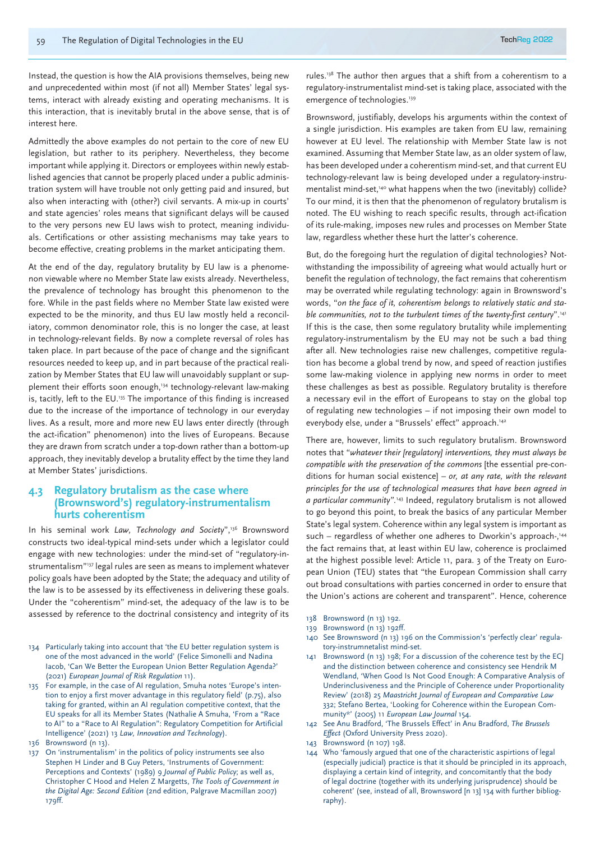Instead, the question is how the AIA provisions themselves, being new and unprecedented within most (if not all) Member States' legal systems, interact with already existing and operating mechanisms. It is this interaction, that is inevitably brutal in the above sense, that is of interest here.

Admittedly the above examples do not pertain to the core of new EU legislation, but rather to its periphery. Nevertheless, they become important while applying it. Directors or employees within newly established agencies that cannot be properly placed under a public administration system will have trouble not only getting paid and insured, but also when interacting with (other?) civil servants. A mix-up in courts' and state agencies' roles means that significant delays will be caused to the very persons new EU laws wish to protect, meaning individuals. Certifications or other assisting mechanisms may take years to become effective, creating problems in the market anticipating them.

At the end of the day, regulatory brutality by EU law is a phenomenon viewable where no Member State law exists already. Nevertheless, the prevalence of technology has brought this phenomenon to the fore. While in the past fields where no Member State law existed were expected to be the minority, and thus EU law mostly held a reconciliatory, common denominator role, this is no longer the case, at least in technology-relevant fields. By now a complete reversal of roles has taken place. In part because of the pace of change and the significant resources needed to keep up, and in part because of the practical realization by Member States that EU law will unavoidably supplant or supplement their efforts soon enough,<sup>134</sup> technology-relevant law-making is, tacitly, left to the EU.<sup>135</sup> The importance of this finding is increased due to the increase of the importance of technology in our everyday lives. As a result, more and more new EU laws enter directly (through the act-ification" phenomenon) into the lives of Europeans. Because they are drawn from scratch under a top-down rather than a bottom-up approach, they inevitably develop a brutality effect by the time they land at Member States' jurisdictions.

#### **4.3 Regulatory brutalism as the case where (Brownsword's) regulatory-instrumentalism hurts coherentism**

In his seminal work *Law, Technology and Society*",<sup>136</sup> Brownsword constructs two ideal-typical mind-sets under which a legislator could engage with new technologies: under the mind-set of "regulatory-instrumentalism"137 legal rules are seen as means to implement whatever policy goals have been adopted by the State; the adequacy and utility of the law is to be assessed by its effectiveness in delivering these goals. Under the "coherentism" mind-set, the adequacy of the law is to be assessed by reference to the doctrinal consistency and integrity of its

- 134 Particularly taking into account that 'the EU better regulation system is one of the most advanced in the world' (Felice Simonelli and Nadina Iacob, 'Can We Better the European Union Better Regulation Agenda?' (2021) *European Journal of Risk Regulation* 11).
- 135 For example, in the case of AI regulation, Smuha notes 'Europe's intention to enjoy a first mover advantage in this regulatory field' (p.75), also taking for granted, within an AI regulation competitive context, that the EU speaks for all its Member States (Nathalie A Smuha, 'From a "Race to AI" to a "Race to AI Regulation": Regulatory Competition for Artificial Intelligence' (2021) 13 *Law, Innovation and Technology*).
- 136 Brownsword (n 13).
- 137 On 'instrumentalism' in the politics of policy instruments see also Stephen H Linder and B Guy Peters, 'Instruments of Government: Perceptions and Contexts' (1989) 9 *Journal of Public Policy*; as well as, Christopher C Hood and Helen Z Margetts, *The Tools of Government in the Digital Age: Second Edition* (2nd edition, Palgrave Macmillan 2007) 179ff.

rules.138 The author then argues that a shift from a coherentism to a regulatory-instrumentalist mind-set is taking place, associated with the emergence of technologies.<sup>139</sup>

Brownsword, justifiably, develops his arguments within the context of a single jurisdiction. His examples are taken from EU law, remaining however at EU level. The relationship with Member State law is not examined. Assuming that Member State law, as an older system of law, has been developed under a coherentism mind-set, and that current EU technology-relevant law is being developed under a regulatory-instrumentalist mind-set,<sup>140</sup> what happens when the two (inevitably) collide? To our mind, it is then that the phenomenon of regulatory brutalism is noted. The EU wishing to reach specific results, through act-ification of its rule-making, imposes new rules and processes on Member State law, regardless whether these hurt the latter's coherence.

But, do the foregoing hurt the regulation of digital technologies? Notwithstanding the impossibility of agreeing what would actually hurt or benefit the regulation of technology, the fact remains that coherentism may be overrated while regulating technology: again in Brownsword's words, "*on the face of it, coherentism belongs to relatively static and stable communities, not to the turbulent times of the twenty-first century*".141 If this is the case, then some regulatory brutality while implementing regulatory-instrumentalism by the EU may not be such a bad thing after all. New technologies raise new challenges, competitive regulation has become a global trend by now, and speed of reaction justifies some law-making violence in applying new norms in order to meet these challenges as best as possible. Regulatory brutality is therefore a necessary evil in the effort of Europeans to stay on the global top of regulating new technologies – if not imposing their own model to everybody else, under a "Brussels' effect" approach.<sup>142</sup>

There are, however, limits to such regulatory brutalism. Brownsword notes that "*whatever their [regulatory] interventions, they must always be compatible with the preservation of the commons* [the essential pre-conditions for human social existence] *– or, at any rate, with the relevant principles for the use of technological measures that have been agreed in a particular community".*143 Indeed, regulatory brutalism is not allowed to go beyond this point, to break the basics of any particular Member State's legal system. Coherence within any legal system is important as such – regardless of whether one adheres to Dworkin's approach-,<sup>144</sup> the fact remains that, at least within EU law, coherence is proclaimed at the highest possible level: Article 11, para. 3 of the Treaty on European Union (TEU) states that "the European Commission shall carry out broad consultations with parties concerned in order to ensure that the Union's actions are coherent and transparent". Hence, coherence

- 138 Brownsword (n 13) 192.
- 139 Brownsword (n 13) 192ff.
- 140 See Brownsword (n 13) 196 on the Commission's 'perfectly clear' regulatory-instrumnetalist mind-set.
- 141 Brownsword (n 13) 198; For a discussion of the coherence test by the ECJ and the distinction between coherence and consistency see Hendrik M Wendland, 'When Good Is Not Good Enough: A Comparative Analysis of Underinclusiveness and the Principle of Coherence under Proportionality Review' (2018) 25 *Maastricht Journal of European and Comparative Law* 332; Stefano Bertea, 'Looking for Coherence within the European Community\*' (2005) 11 *European Law Journal* 154.
- 142 See Anu Bradford, 'The Brussels Effect' in Anu Bradford, *The Brussels Effect* (Oxford University Press 2020).
- 143 Brownsword (n 107) 198.
- 144 Who 'famously argued that one of the characteristic aspirtions of legal (especially judicial) practice is that it should be principled in its approach, displaying a certain kind of integrity, and concomitantly that the body of legal doctrine (together with its underlying jurisprudence) should be coherent' (see, instead of all, Brownsword [n 13] 134 with further bibliography).